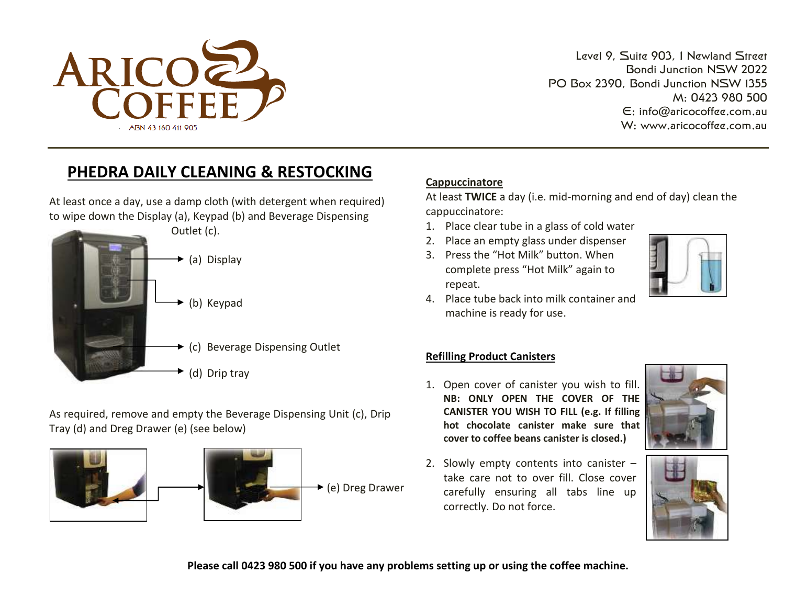

Level 9, Suite 903, 1 Newland Street Bondi Junction NSW 2022 PO Box 2390, Bondi Junction NSW 1355 M: 0423 980 500 E: [info@aricocoffee.com.au](mailto:info@aricocoffee.com.au) W: [www.aricocoffee.com.au](http://www.aricocoffee.com.au/) 

# **PHEDRA DAILY CLEANING & RESTOCKING**

At least once a day, use a damp cloth (with detergent when required) to wipe down the Display (a), Keypad (b) and Beverage Dispensing



As required, remove and empty the Beverage Dispensing Unit (c), Drip Tray (d) and Dreg Drawer (e) (see below)



# **Cappuccinatore**

At least **TWICE** a day (i.e. mid-morning and end of day) clean the cappuccinatore:

- 1. Place clear tube in a glass of cold water
- 2. Place an empty glass under dispenser
- 3. Press the "Hot Milk" button. When complete press "Hot Milk" again to repeat.



4. Place tube back into milk container and machine is ready for use.

### **Refilling Product Canisters**

- 1. Open cover of canister you wish to fill. **NB: ONLY OPEN THE COVER OF THE CANISTER YOU WISH TO FILL (e.g. If filling hot chocolate canister make sure that cover to coffee beans canister is closed.)**
- 2. Slowly empty contents into canister take care not to over fill. Close cover carefully ensuring all tabs line up correctly. Do not force.





**Please call 0423 980 500 if you have any problems setting up or using the coffee machine.**